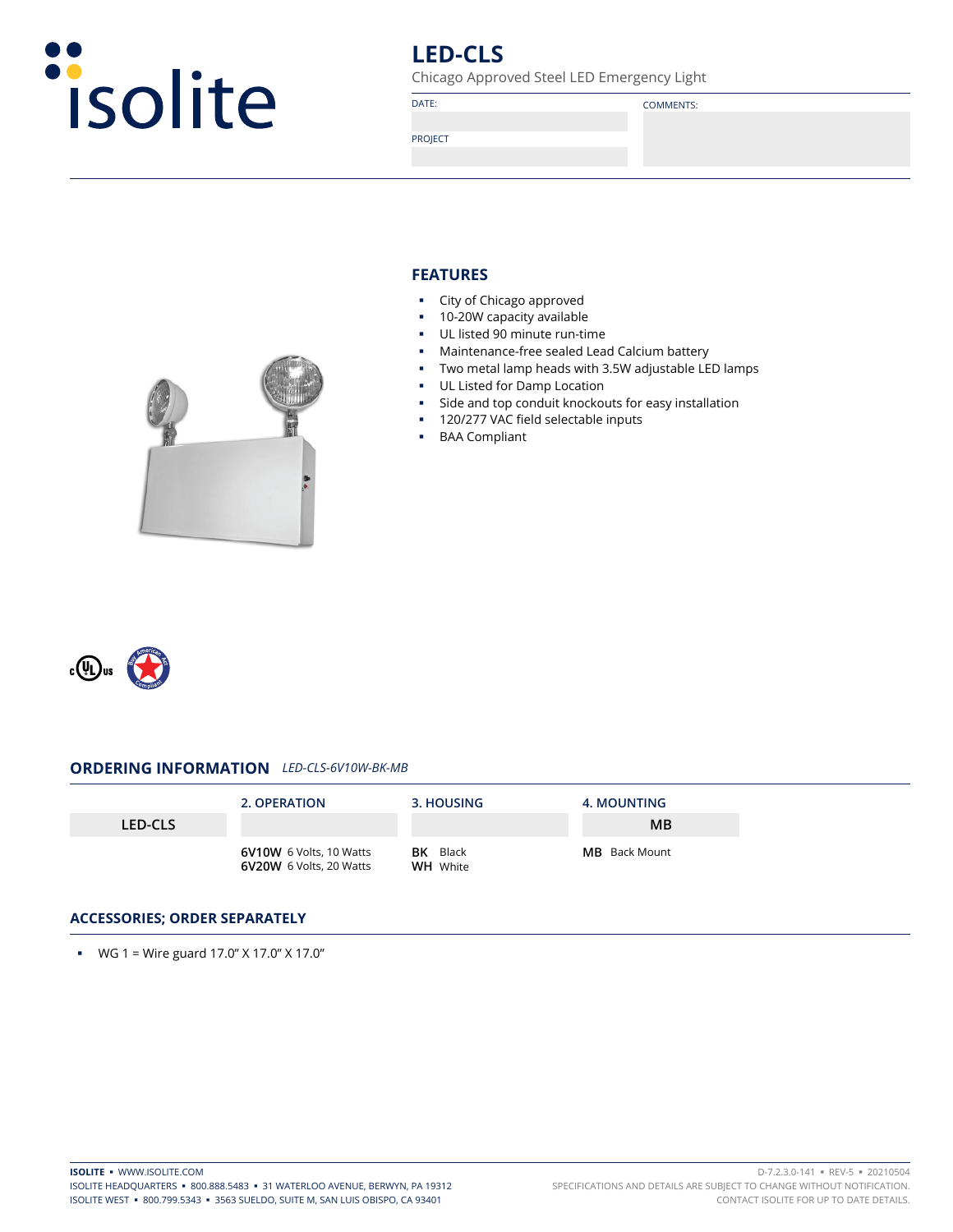

# **LED-CLS**

Chicago Approved Steel LED Emergency Light

DATE: COMMENTS:

PROJECT

# **FEATURES**

- **City of Chicago approved**
- **10-20W capacity available**
- UL listed 90 minute run-time
- Maintenance-free sealed Lead Calcium battery
- Two metal lamp heads with 3.5W adjustable LED lamps
- **UL Listed for Damp Location**
- Side and top conduit knockouts for easy installation
- **120/277 VAC field selectable inputs**
- BAA Compliant



## **ORDERING INFORMATION** *LED-CLS-6V10W-BK-MB*

|                | 2. OPERATION                                              | 3. HOUSING                         | <b>4. MOUNTING</b>   |
|----------------|-----------------------------------------------------------|------------------------------------|----------------------|
| <b>LED-CLS</b> |                                                           |                                    | MB                   |
|                | 6V10W 6 Volts, 10 Watts<br><b>6V20W</b> 6 Volts, 20 Watts | <b>BK</b> Black<br><b>WH</b> White | <b>MB</b> Back Mount |

### **ACCESSORIES; ORDER SEPARATELY**

**WG** 1 = Wire guard  $17.0$ "  $\times$  17.0"  $\times$  17.0"